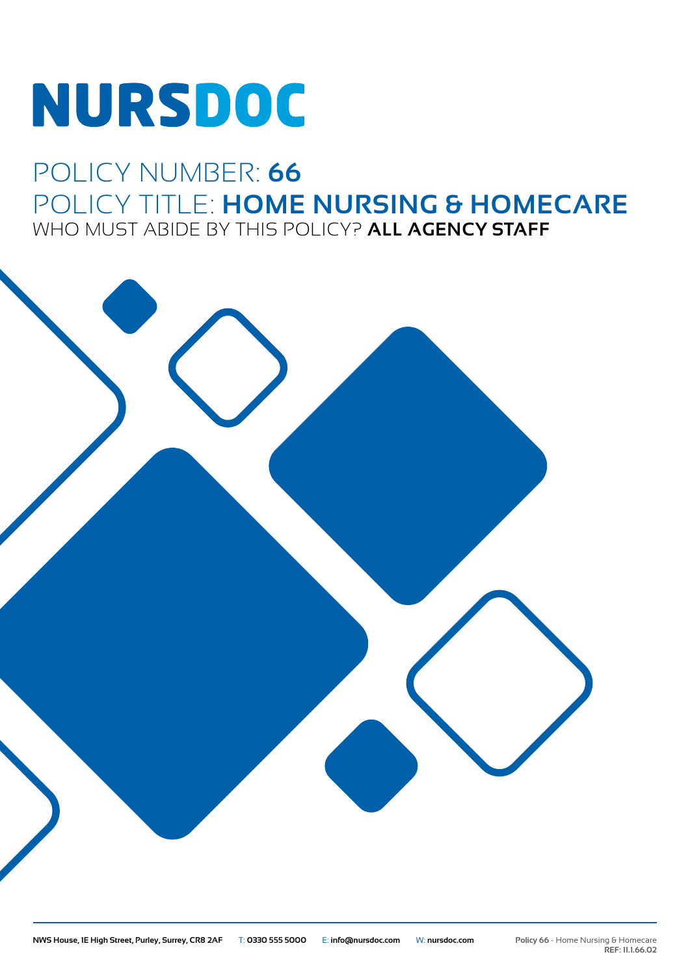# NURSDOC

### POLICY NUMBER: **66** POLICY TITLE: **HOME NURSING & HOMECARE** WHO MUST ABIDE BY THIS POLICY? **ALL AGENCY STAFF**